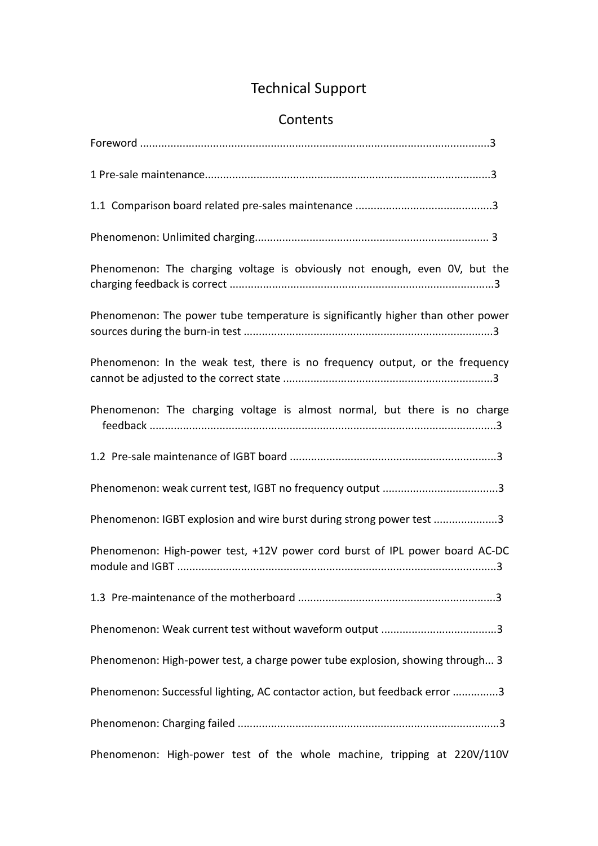## Technical Support

## Contents

| Phenomenon: The charging voltage is obviously not enough, even OV, but the      |  |
|---------------------------------------------------------------------------------|--|
| Phenomenon: The power tube temperature is significantly higher than other power |  |
| Phenomenon: In the weak test, there is no frequency output, or the frequency    |  |
| Phenomenon: The charging voltage is almost normal, but there is no charge       |  |
|                                                                                 |  |
|                                                                                 |  |
| Phenomenon: IGBT explosion and wire burst during strong power test 3            |  |
| Phenomenon: High-power test, +12V power cord burst of IPL power board AC-DC     |  |
|                                                                                 |  |
|                                                                                 |  |
| Phenomenon: High-power test, a charge power tube explosion, showing through 3   |  |
| Phenomenon: Successful lighting, AC contactor action, but feedback error 3      |  |
|                                                                                 |  |
| Phenomenon: High-power test of the whole machine, tripping at 220V/110V         |  |